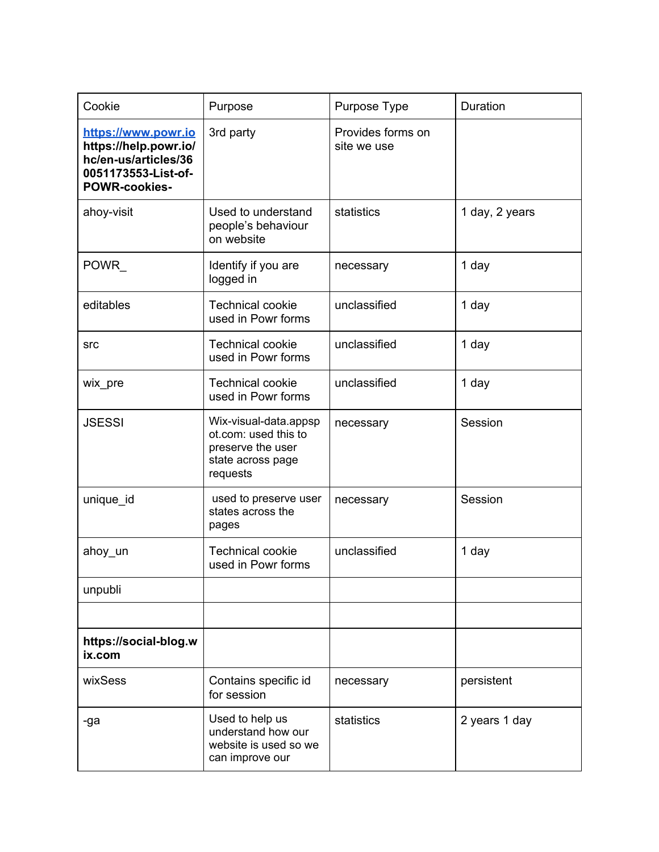| Cookie                                                                                                              | Purpose                                                                                             | Purpose Type                     | Duration       |
|---------------------------------------------------------------------------------------------------------------------|-----------------------------------------------------------------------------------------------------|----------------------------------|----------------|
| https://www.powr.io<br>https://help.powr.io/<br>hc/en-us/articles/36<br>0051173553-List-of-<br><b>POWR-cookies-</b> | 3rd party                                                                                           | Provides forms on<br>site we use |                |
| ahoy-visit                                                                                                          | Used to understand<br>people's behaviour<br>on website                                              | statistics                       | 1 day, 2 years |
| POWR_                                                                                                               | Identify if you are<br>logged in                                                                    | necessary                        | 1 day          |
| editables                                                                                                           | <b>Technical cookie</b><br>used in Powr forms                                                       | unclassified                     | 1 day          |
| <b>src</b>                                                                                                          | <b>Technical cookie</b><br>used in Powr forms                                                       | unclassified                     | 1 day          |
| wix_pre                                                                                                             | <b>Technical cookie</b><br>used in Powr forms                                                       | unclassified                     | 1 day          |
| <b>JSESSI</b>                                                                                                       | Wix-visual-data.appsp<br>ot.com: used this to<br>preserve the user<br>state across page<br>requests | necessary                        | Session        |
| unique_id                                                                                                           | used to preserve user<br>states across the<br>pages                                                 | necessary                        | Session        |
| ahoy_un                                                                                                             | <b>Technical cookie</b><br>used in Powr forms                                                       | unclassified                     | 1 day          |
| unpubli                                                                                                             |                                                                                                     |                                  |                |
|                                                                                                                     |                                                                                                     |                                  |                |
| https://social-blog.w<br>ix.com                                                                                     |                                                                                                     |                                  |                |
| wixSess                                                                                                             | Contains specific id<br>for session                                                                 | necessary                        | persistent     |
| -ga                                                                                                                 | Used to help us<br>understand how our<br>website is used so we<br>can improve our                   | statistics                       | 2 years 1 day  |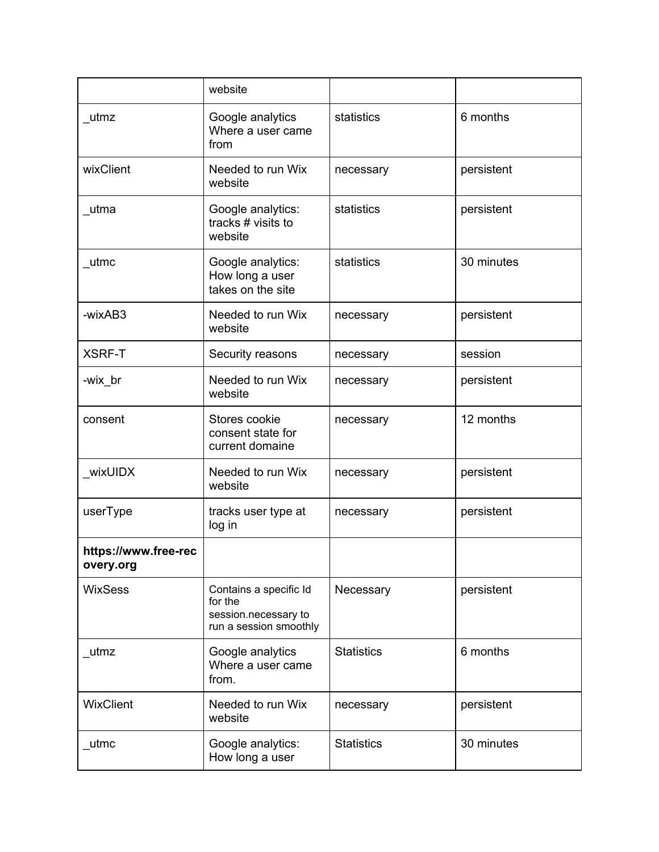|                                   | website                                                                             |                   |            |
|-----------------------------------|-------------------------------------------------------------------------------------|-------------------|------------|
| utmz                              | Google analytics<br>Where a user came<br>from                                       | statistics        | 6 months   |
| wixClient                         | Needed to run Wix<br>website                                                        | necessary         | persistent |
| utma                              | Google analytics:<br>tracks # visits to<br>website                                  | statistics        | persistent |
| _utmc                             | Google analytics:<br>How long a user<br>takes on the site                           | statistics        | 30 minutes |
| -wixAB3                           | Needed to run Wix<br>website                                                        | necessary         | persistent |
| <b>XSRF-T</b>                     | Security reasons                                                                    | necessary         | session    |
| -wix_br                           | Needed to run Wix<br>website                                                        | necessary         | persistent |
| consent                           | Stores cookie<br>consent state for<br>current domaine                               | necessary         | 12 months  |
| wixUIDX                           | Needed to run Wix<br>website                                                        | necessary         | persistent |
| userType                          | tracks user type at<br>log in                                                       | necessary         | persistent |
| https://www.free-rec<br>overy.org |                                                                                     |                   |            |
| <b>WixSess</b>                    | Contains a specific Id<br>for the<br>session.necessary to<br>run a session smoothly | Necessary         | persistent |
| utmz                              | Google analytics<br>Where a user came<br>from.                                      | <b>Statistics</b> | 6 months   |
| WixClient                         | Needed to run Wix<br>website                                                        | necessary         | persistent |
| utmc                              | Google analytics:<br>How long a user                                                | <b>Statistics</b> | 30 minutes |